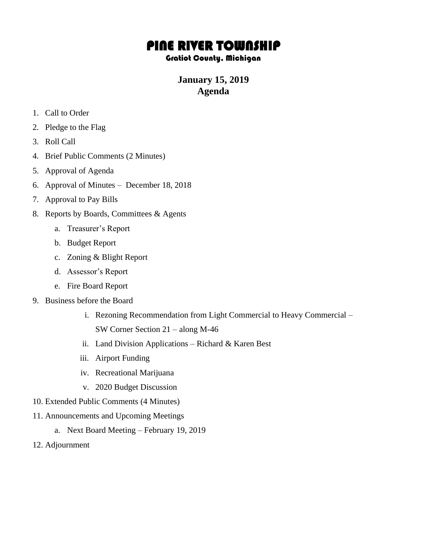# PINE RIVER TOWNSHIP

#### Gratiot County, Michigan

## **January 15, 2019 Agenda**

- 1. Call to Order
- 2. Pledge to the Flag
- 3. Roll Call
- 4. Brief Public Comments (2 Minutes)
- 5. Approval of Agenda
- 6. Approval of Minutes December 18, 2018
- 7. Approval to Pay Bills
- 8. Reports by Boards, Committees & Agents
	- a. Treasurer's Report
	- b. Budget Report
	- c. Zoning & Blight Report
	- d. Assessor's Report
	- e. Fire Board Report
- 9. Business before the Board
	- i. Rezoning Recommendation from Light Commercial to Heavy Commercial SW Corner Section 21 – along M-46
	- ii. Land Division Applications Richard & Karen Best
	- iii. Airport Funding
	- iv. Recreational Marijuana
	- v. 2020 Budget Discussion
- 10. Extended Public Comments (4 Minutes)
- 11. Announcements and Upcoming Meetings
	- a. Next Board Meeting February 19, 2019
- 12. Adjournment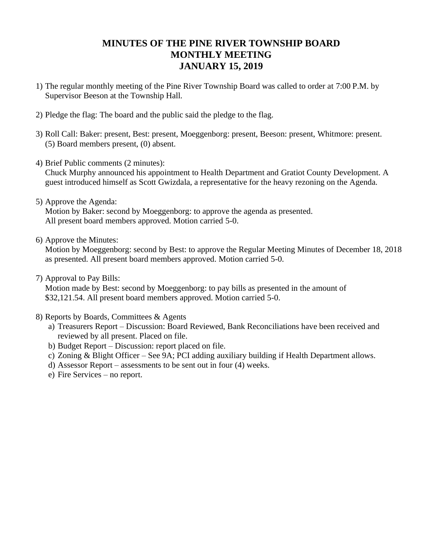### **MINUTES OF THE PINE RIVER TOWNSHIP BOARD MONTHLY MEETING JANUARY 15, 2019**

- 1) The regular monthly meeting of the Pine River Township Board was called to order at 7:00 P.M. by Supervisor Beeson at the Township Hall.
- 2) Pledge the flag: The board and the public said the pledge to the flag.
- 3) Roll Call: Baker: present, Best: present, Moeggenborg: present, Beeson: present, Whitmore: present. (5) Board members present, (0) absent.
- 4) Brief Public comments (2 minutes):

Chuck Murphy announced his appointment to Health Department and Gratiot County Development. A guest introduced himself as Scott Gwizdala, a representative for the heavy rezoning on the Agenda.

5) Approve the Agenda:

Motion by Baker: second by Moeggenborg: to approve the agenda as presented. All present board members approved. Motion carried 5-0.

6) Approve the Minutes:

Motion by Moeggenborg: second by Best: to approve the Regular Meeting Minutes of December 18, 2018 as presented. All present board members approved. Motion carried 5-0.

7) Approval to Pay Bills:

Motion made by Best: second by Moeggenborg: to pay bills as presented in the amount of \$32,121.54. All present board members approved. Motion carried 5-0.

- 8) Reports by Boards, Committees & Agents
	- a) Treasurers Report Discussion: Board Reviewed, Bank Reconciliations have been received and reviewed by all present. Placed on file.
	- b) Budget Report Discussion: report placed on file.
	- c) Zoning & Blight Officer See 9A; PCI adding auxiliary building if Health Department allows.
	- d) Assessor Report assessments to be sent out in four (4) weeks.
	- e) Fire Services no report.